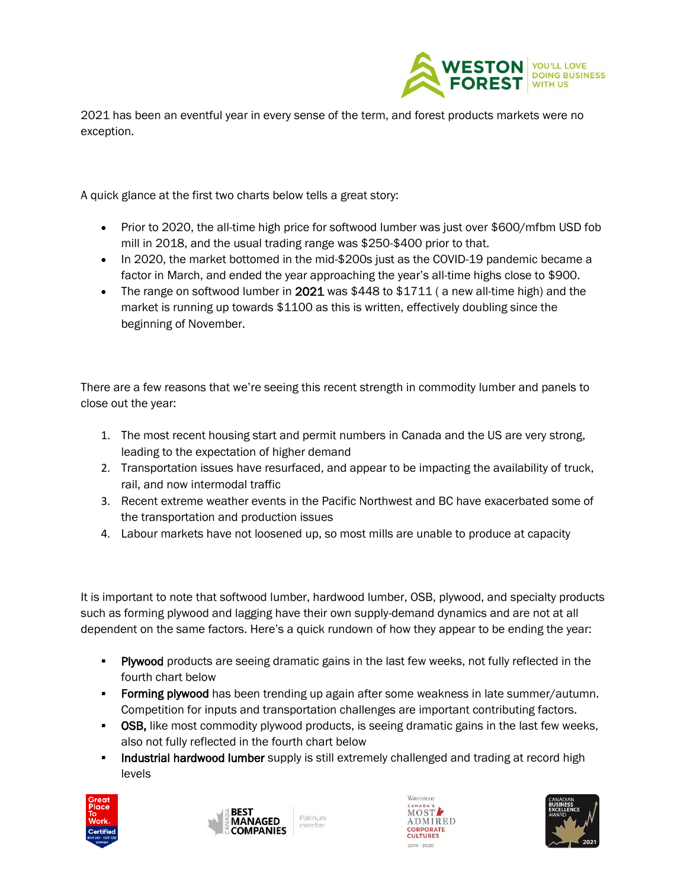

2021 has been an eventful year in every sense of the term, and forest products markets were no exception.

A quick glance at the first two charts below tells a great story:

- Prior to 2020, the all-time high price for softwood lumber was just over \$600/mfbm USD fob mill in 2018, and the usual trading range was \$250-\$400 prior to that.
- In 2020, the market bottomed in the mid-\$200s just as the COVID-19 pandemic became a factor in March, and ended the year approaching the year's all-time highs close to \$900.
- The range on softwood lumber in 2021 was  $$448$  to  $$1711$  (a new all-time high) and the market is running up towards \$1100 as this is written, effectively doubling since the beginning of November.

There are a few reasons that we're seeing this recent strength in commodity lumber and panels to close out the year:

- 1. The most recent housing start and permit numbers in Canada and the US are very strong, leading to the expectation of higher demand
- 2. Transportation issues have resurfaced, and appear to be impacting the availability of truck, rail, and now intermodal traffic
- 3. Recent extreme weather events in the Pacific Northwest and BC have exacerbated some of the transportation and production issues
- 4. Labour markets have not loosened up, so most mills are unable to produce at capacity

It is important to note that softwood lumber, hardwood lumber, OSB, plywood, and specialty products such as forming plywood and lagging have their own supply-demand dynamics and are not at all dependent on the same factors. Here's a quick rundown of how they appear to be ending the year:

- **Plywood** products are seeing dramatic gains in the last few weeks, not fully reflected in the fourth chart below
- **Example 3 Forming plywood** has been trending up again after some weakness in late summer/autumn. Competition for inputs and transportation challenges are important contributing factors.
- **OSB,** like most commodity plywood products, is seeing dramatic gains in the last few weeks, also not fully reflected in the fourth chart below
- **Industrial hardwood lumber** supply is still extremely challenged and trading at record high levels







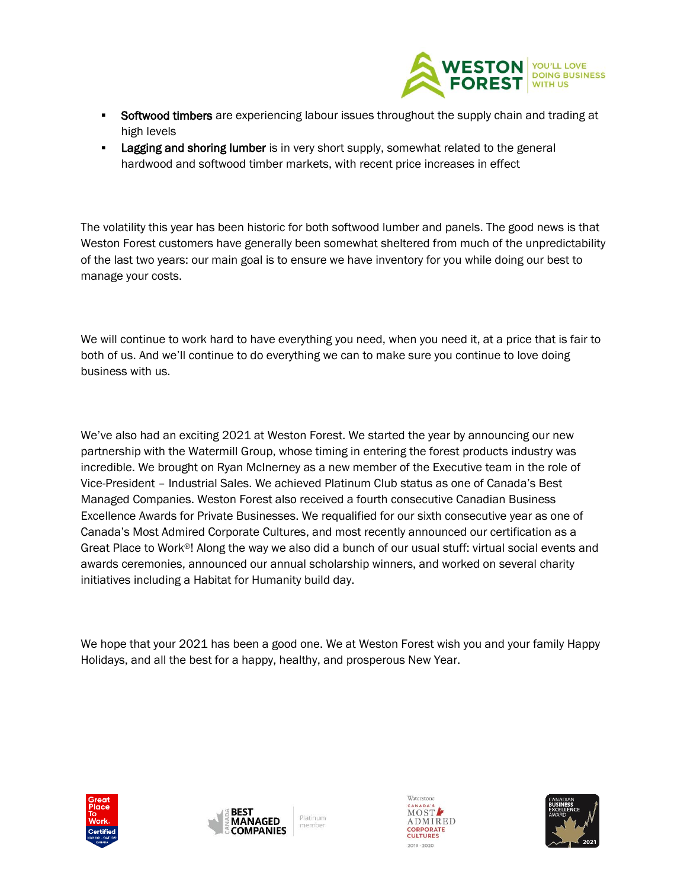

- **Softwood timbers** are experiencing labour issues throughout the supply chain and trading at high levels
- **EXECT** Lagging and shoring lumber is in very short supply, somewhat related to the general hardwood and softwood timber markets, with recent price increases in effect

The volatility this year has been historic for both softwood lumber and panels. The good news is that Weston Forest customers have generally been somewhat sheltered from much of the unpredictability of the last two years: our main goal is to ensure we have inventory for you while doing our best to manage your costs.

We will continue to work hard to have everything you need, when you need it, at a price that is fair to both of us. And we'll continue to do everything we can to make sure you continue to love doing business with us.

We've also had an exciting 2021 at Weston Forest. We started the year by announcing our new partnership with the Watermill Group, whose timing in entering the forest products industry was incredible. We brought on Ryan McInerney as a new member of the Executive team in the role of Vice-President – Industrial Sales. We achieved Platinum Club status as one of Canada's Best Managed Companies. Weston Forest also received a fourth consecutive Canadian Business Excellence Awards for Private Businesses. We requalified for our sixth consecutive year as one of Canada's Most Admired Corporate Cultures, and most recently announced our certification as a Great Place to Work®! Along the way we also did a bunch of our usual stuff: virtual social events and awards ceremonies, announced our annual scholarship winners, and worked on several charity initiatives including a Habitat for Humanity build day.

We hope that your 2021 has been a good one. We at Weston Forest wish you and your family Happy Holidays, and all the best for a happy, healthy, and prosperous New Year.







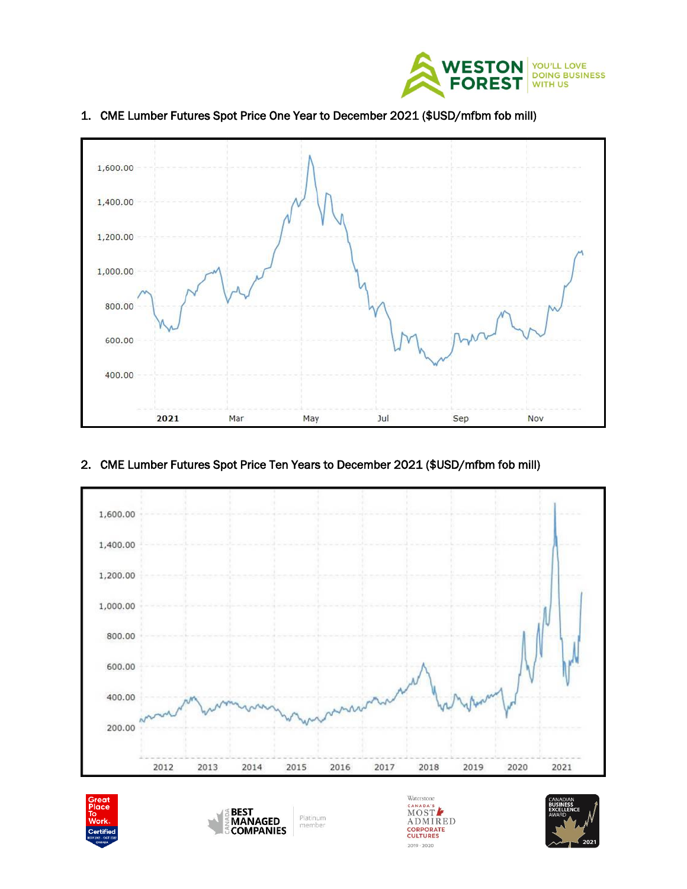



## 1. CME Lumber Futures Spot Price One Year to December 2021 (\$USD/mfbm fob mill)

## 2. CME Lumber Futures Spot Price Ten Years to December 2021 (\$USD/mfbm fob mill)



 $2019 \cdot 2020$